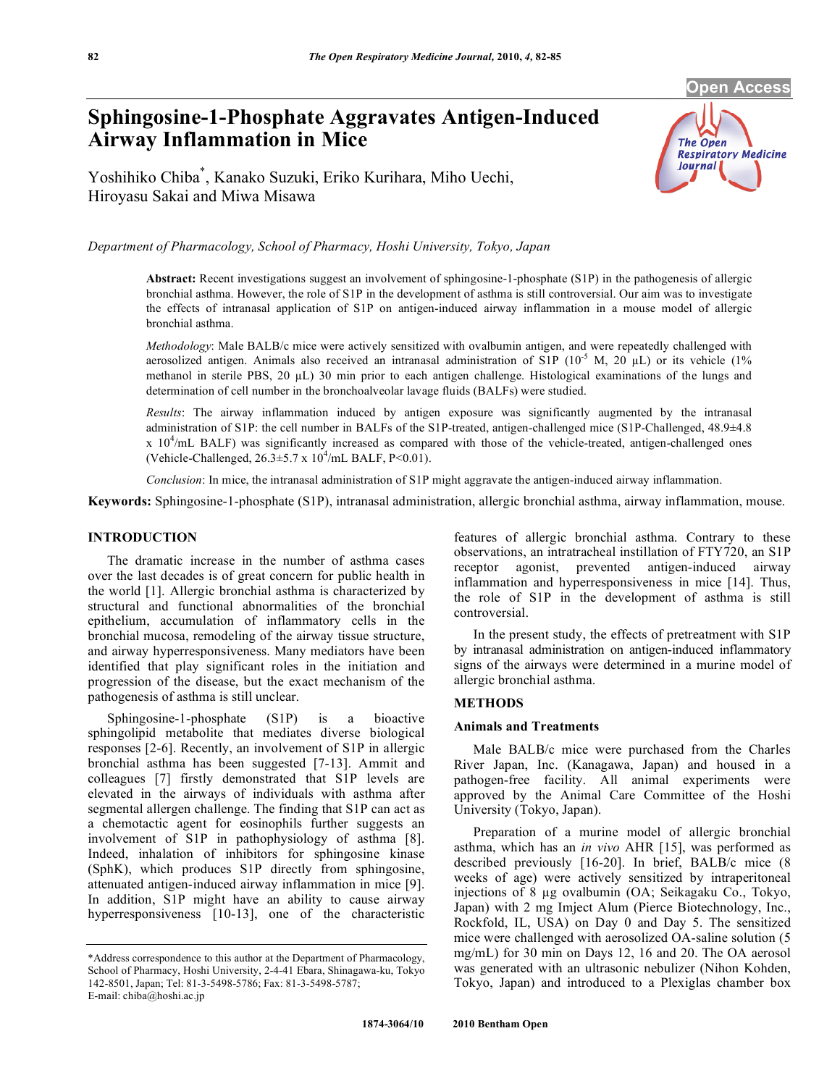**Open Access** 

# **Sphingosine-1-Phosphate Aggravates Antigen-Induced Airway Inflammation in Mice**

The Open **Respiratory Medicine Journal** 

Yoshihiko Chiba\* , Kanako Suzuki, Eriko Kurihara, Miho Uechi, Hiroyasu Sakai and Miwa Misawa

*Department of Pharmacology, School of Pharmacy, Hoshi University, Tokyo, Japan* 

**Abstract:** Recent investigations suggest an involvement of sphingosine-1-phosphate (S1P) in the pathogenesis of allergic bronchial asthma. However, the role of S1P in the development of asthma is still controversial. Our aim was to investigate the effects of intranasal application of S1P on antigen-induced airway inflammation in a mouse model of allergic bronchial asthma.

*Methodology*: Male BALB/c mice were actively sensitized with ovalbumin antigen, and were repeatedly challenged with aerosolized antigen. Animals also received an intranasal administration of S1P ( $10^{-5}$  M,  $20 \mu L$ ) or its vehicle ( $1\%$ methanol in sterile PBS,  $20 \mu L$ ) 30 min prior to each antigen challenge. Histological examinations of the lungs and determination of cell number in the bronchoalveolar lavage fluids (BALFs) were studied.

*Results*: The airway inflammation induced by antigen exposure was significantly augmented by the intranasal administration of S1P: the cell number in BALFs of the S1P-treated, antigen-challenged mice (S1P-Challenged, 48.9±4.8  $x$  10<sup>4</sup>/mL BALF) was significantly increased as compared with those of the vehicle-treated, antigen-challenged ones (Vehicle-Challenged,  $26.3 \pm 5.7 \times 10^4$ /mL BALF, P<0.01).

*Conclusion*: In mice, the intranasal administration of S1P might aggravate the antigen-induced airway inflammation.

**Keywords:** Sphingosine-1-phosphate (S1P), intranasal administration, allergic bronchial asthma, airway inflammation, mouse.

## **INTRODUCTION**

 The dramatic increase in the number of asthma cases over the last decades is of great concern for public health in the world [1]. Allergic bronchial asthma is characterized by structural and functional abnormalities of the bronchial epithelium, accumulation of inflammatory cells in the bronchial mucosa, remodeling of the airway tissue structure, and airway hyperresponsiveness. Many mediators have been identified that play significant roles in the initiation and progression of the disease, but the exact mechanism of the pathogenesis of asthma is still unclear.

 Sphingosine-1-phosphate (S1P) is a bioactive sphingolipid metabolite that mediates diverse biological responses [2-6]. Recently, an involvement of S1P in allergic bronchial asthma has been suggested [7-13]. Ammit and colleagues [7] firstly demonstrated that S1P levels are elevated in the airways of individuals with asthma after segmental allergen challenge. The finding that S1P can act as a chemotactic agent for eosinophils further suggests an involvement of S1P in pathophysiology of asthma [8]. Indeed, inhalation of inhibitors for sphingosine kinase (SphK), which produces S1P directly from sphingosine, attenuated antigen-induced airway inflammation in mice [9]. In addition, S1P might have an ability to cause airway hyperresponsiveness [10-13], one of the characteristic

features of allergic bronchial asthma. Contrary to these observations, an intratracheal instillation of FTY720, an S1P receptor agonist, prevented antigen-induced airway inflammation and hyperresponsiveness in mice [14]. Thus, the role of S1P in the development of asthma is still controversial.

 In the present study, the effects of pretreatment with S1P by intranasal administration on antigen-induced inflammatory signs of the airways were determined in a murine model of allergic bronchial asthma.

# **METHODS**

#### **Animals and Treatments**

 Male BALB/c mice were purchased from the Charles River Japan, Inc. (Kanagawa, Japan) and housed in a pathogen-free facility. All animal experiments were approved by the Animal Care Committee of the Hoshi University (Tokyo, Japan).

 Preparation of a murine model of allergic bronchial asthma, which has an *in vivo* AHR [15], was performed as described previously [16-20]. In brief, BALB/c mice (8 weeks of age) were actively sensitized by intraperitoneal injections of 8 µg ovalbumin (OA; Seikagaku Co., Tokyo, Japan) with 2 mg Imject Alum (Pierce Biotechnology, Inc., Rockfold, IL, USA) on Day 0 and Day 5. The sensitized mice were challenged with aerosolized OA-saline solution (5 mg/mL) for 30 min on Days 12, 16 and 20. The OA aerosol was generated with an ultrasonic nebulizer (Nihon Kohden, Tokyo, Japan) and introduced to a Plexiglas chamber box

<sup>\*</sup>Address correspondence to this author at the Department of Pharmacology, School of Pharmacy, Hoshi University, 2-4-41 Ebara, Shinagawa-ku, Tokyo 142-8501, Japan; Tel: 81-3-5498-5786; Fax: 81-3-5498-5787; E-mail: chiba@hoshi.ac.jp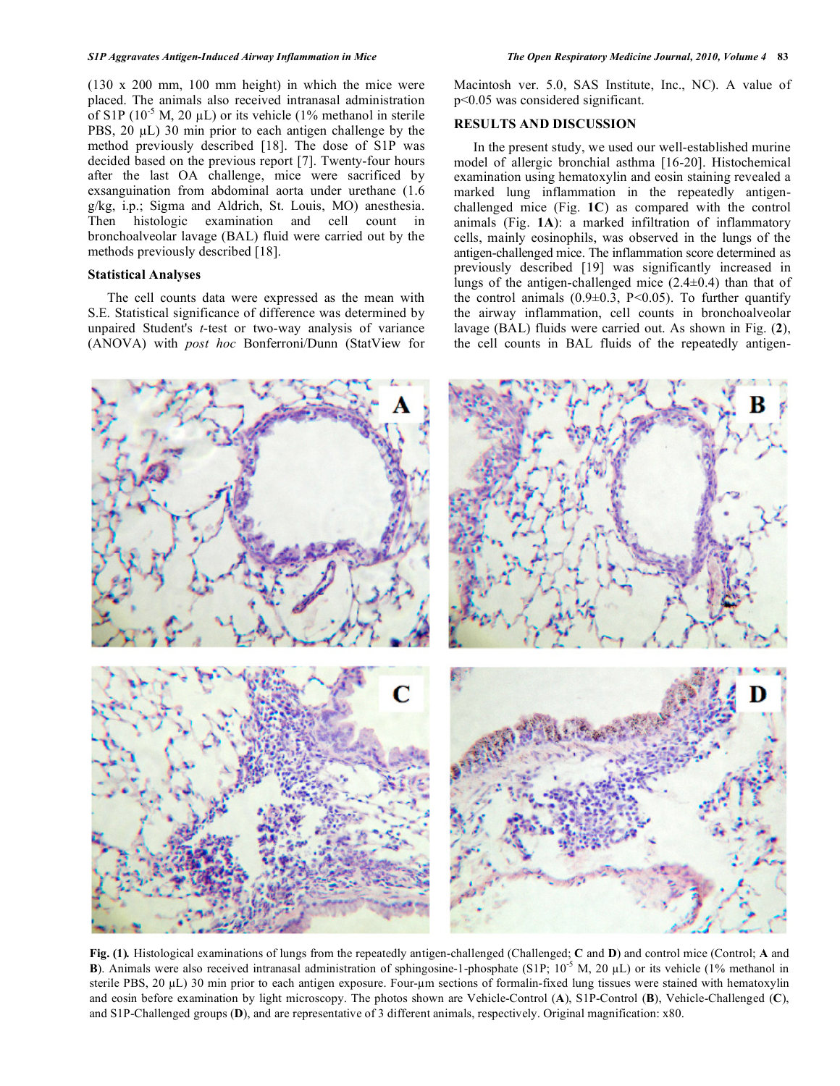(130 x 200 mm, 100 mm height) in which the mice were placed. The animals also received intranasal administration of S1P  $(10^{-5}$  M, 20  $\mu$ L) or its vehicle  $(1\%$  methanol in sterile PBS,  $20 \mu L$ ) 30 min prior to each antigen challenge by the method previously described [18]. The dose of S1P was decided based on the previous report [7]. Twenty-four hours after the last OA challenge, mice were sacrificed by exsanguination from abdominal aorta under urethane (1.6 g/kg, i.p.; Sigma and Aldrich, St. Louis, MO) anesthesia. Then histologic examination and cell count in bronchoalveolar lavage (BAL) fluid were carried out by the methods previously described [18].

## **Statistical Analyses**

 The cell counts data were expressed as the mean with S.E. Statistical significance of difference was determined by unpaired Student's *t*-test or two-way analysis of variance (ANOVA) with *post hoc* Bonferroni/Dunn (StatView for

Macintosh ver. 5.0, SAS Institute, Inc., NC). A value of p<0.05 was considered significant.

## **RESULTS AND DISCUSSION**

 In the present study, we used our well-established murine model of allergic bronchial asthma [16-20]. Histochemical examination using hematoxylin and eosin staining revealed a marked lung inflammation in the repeatedly antigenchallenged mice (Fig. **1C**) as compared with the control animals (Fig. **1A**): a marked infiltration of inflammatory cells, mainly eosinophils, was observed in the lungs of the antigen-challenged mice. The inflammation score determined as previously described [19] was significantly increased in lungs of the antigen-challenged mice (2.4±0.4) than that of the control animals  $(0.9\pm0.3, P<0.05)$ . To further quantify the airway inflammation, cell counts in bronchoalveolar lavage (BAL) fluids were carried out. As shown in Fig. (**2**), the cell counts in BAL fluids of the repeatedly antigen-



**Fig. (1)***.* Histological examinations of lungs from the repeatedly antigen-challenged (Challenged; **C** and **D**) and control mice (Control; **A** and **B**). Animals were also received intranasal administration of sphingosine-1-phosphate (S1P;  $10^{-5}$  M,  $20 \mu L$ ) or its vehicle (1% methanol in sterile PBS,  $20 \mu L$ ) 30 min prior to each antigen exposure. Four- $\mu$ m sections of formalin-fixed lung tissues were stained with hematoxylin and eosin before examination by light microscopy. The photos shown are Vehicle-Control (**A**), S1P-Control (**B**), Vehicle-Challenged (**C**), and S1P-Challenged groups (**D**), and are representative of 3 different animals, respectively. Original magnification: x80.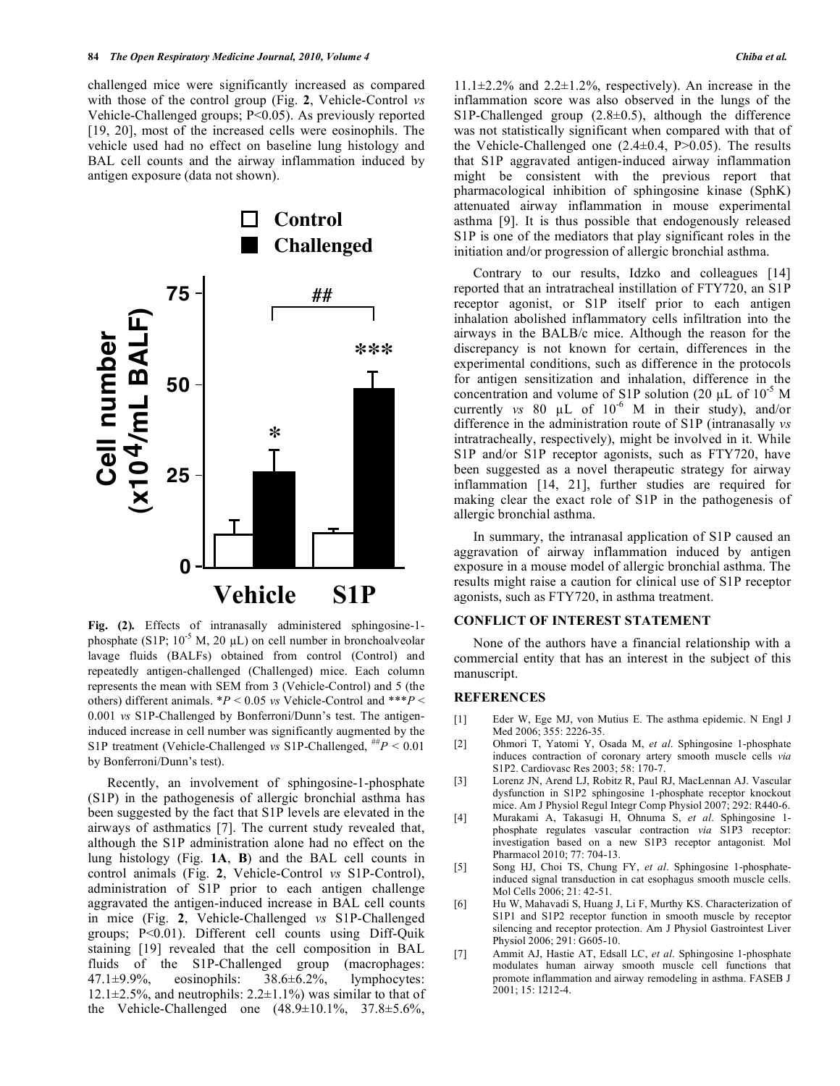challenged mice were significantly increased as compared with those of the control group (Fig. **2**, Vehicle-Control *vs* Vehicle-Challenged groups; P<0.05). As previously reported [19, 20], most of the increased cells were eosinophils. The vehicle used had no effect on baseline lung histology and BAL cell counts and the airway inflammation induced by antigen exposure (data not shown).



**Fig. (2)***.* Effects of intranasally administered sphingosine-1 phosphate (S1P;  $10^{-5}$  M, 20  $\mu$ L) on cell number in bronchoalveolar lavage fluids (BALFs) obtained from control (Control) and repeatedly antigen-challenged (Challenged) mice. Each column represents the mean with SEM from 3 (Vehicle-Control) and 5 (the others) different animals. \**P* < 0.05 *vs* Vehicle-Control and \*\*\**P* < 0.001 *vs* S1P-Challenged by Bonferroni/Dunn's test. The antigeninduced increase in cell number was significantly augmented by the S1P treatment (Vehicle-Challenged *vs* S1P-Challenged,  $H^*P < 0.01$ by Bonferroni/Dunn's test).

 Recently, an involvement of sphingosine-1-phosphate (S1P) in the pathogenesis of allergic bronchial asthma has been suggested by the fact that S1P levels are elevated in the airways of asthmatics [7]. The current study revealed that, although the S1P administration alone had no effect on the lung histology (Fig. **1A**, **B**) and the BAL cell counts in control animals (Fig. **2**, Vehicle-Control *vs* S1P-Control), administration of S1P prior to each antigen challenge aggravated the antigen-induced increase in BAL cell counts in mice (Fig. **2**, Vehicle-Challenged *vs* S1P-Challenged groups; P<0.01). Different cell counts using Diff-Quik staining [19] revealed that the cell composition in BAL fluids of the S1P-Challenged group (macrophages: 47.1±9.9%, eosinophils: 38.6±6.2%, lymphocytes: 12.1 $\pm$ 2.5%, and neutrophils: 2.2 $\pm$ 1.1%) was similar to that of the Vehicle-Challenged one  $(48.9 \pm 10.1\%, 37.8 \pm 5.6\%,$ 

 $11.1\pm2.2\%$  and  $2.2\pm1.2\%$ , respectively). An increase in the inflammation score was also observed in the lungs of the S1P-Challenged group  $(2.8\pm0.5)$ , although the difference was not statistically significant when compared with that of the Vehicle-Challenged one  $(2.4\pm0.4, P>0.05)$ . The results that S1P aggravated antigen-induced airway inflammation might be consistent with the previous report that pharmacological inhibition of sphingosine kinase (SphK) attenuated airway inflammation in mouse experimental asthma [9]. It is thus possible that endogenously released S1P is one of the mediators that play significant roles in the initiation and/or progression of allergic bronchial asthma.

 Contrary to our results, Idzko and colleagues [14] reported that an intratracheal instillation of FTY720, an S1P receptor agonist, or S1P itself prior to each antigen inhalation abolished inflammatory cells infiltration into the airways in the BALB/c mice. Although the reason for the discrepancy is not known for certain, differences in the experimental conditions, such as difference in the protocols for antigen sensitization and inhalation, difference in the concentration and volume of S1P solution (20  $\mu$ L of 10<sup>-5</sup> M currently *vs* 80  $\mu$ L of 10<sup>-6</sup> M in their study), and/or difference in the administration route of S1P (intranasally *vs* intratracheally, respectively), might be involved in it. While S1P and/or S1P receptor agonists, such as FTY720, have been suggested as a novel therapeutic strategy for airway inflammation [14, 21], further studies are required for making clear the exact role of S1P in the pathogenesis of allergic bronchial asthma.

 In summary, the intranasal application of S1P caused an aggravation of airway inflammation induced by antigen exposure in a mouse model of allergic bronchial asthma. The results might raise a caution for clinical use of S1P receptor agonists, such as FTY720, in asthma treatment.

#### **CONFLICT OF INTEREST STATEMENT**

 None of the authors have a financial relationship with a commercial entity that has an interest in the subject of this manuscript.

#### **REFERENCES**

- [1] Eder W, Ege MJ, von Mutius E. The asthma epidemic. N Engl J Med 2006; 355: 2226-35.
- [2] Ohmori T, Yatomi Y, Osada M, *et al*. Sphingosine 1-phosphate induces contraction of coronary artery smooth muscle cells *via*  S1P2. Cardiovasc Res 2003; 58: 170-7.
- [3] Lorenz JN, Arend LJ, Robitz R, Paul RJ, MacLennan AJ. Vascular dysfunction in S1P2 sphingosine 1-phosphate receptor knockout mice. Am J Physiol Regul Integr Comp Physiol 2007; 292: R440-6.
- [4] Murakami A, Takasugi H, Ohnuma S, *et al*. Sphingosine 1 phosphate regulates vascular contraction *via* S1P3 receptor: investigation based on a new S1P3 receptor antagonist. Mol Pharmacol 2010; 77: 704-13.
- [5] Song HJ, Choi TS, Chung FY, *et al*. Sphingosine 1-phosphateinduced signal transduction in cat esophagus smooth muscle cells. Mol Cells 2006; 21: 42-51.
- [6] Hu W, Mahavadi S, Huang J, Li F, Murthy KS. Characterization of S1P1 and S1P2 receptor function in smooth muscle by receptor silencing and receptor protection. Am J Physiol Gastrointest Liver Physiol 2006; 291: G605-10.
- [7] Ammit AJ, Hastie AT, Edsall LC, *et al*. Sphingosine 1-phosphate modulates human airway smooth muscle cell functions that promote inflammation and airway remodeling in asthma. FASEB J 2001; 15: 1212-4.